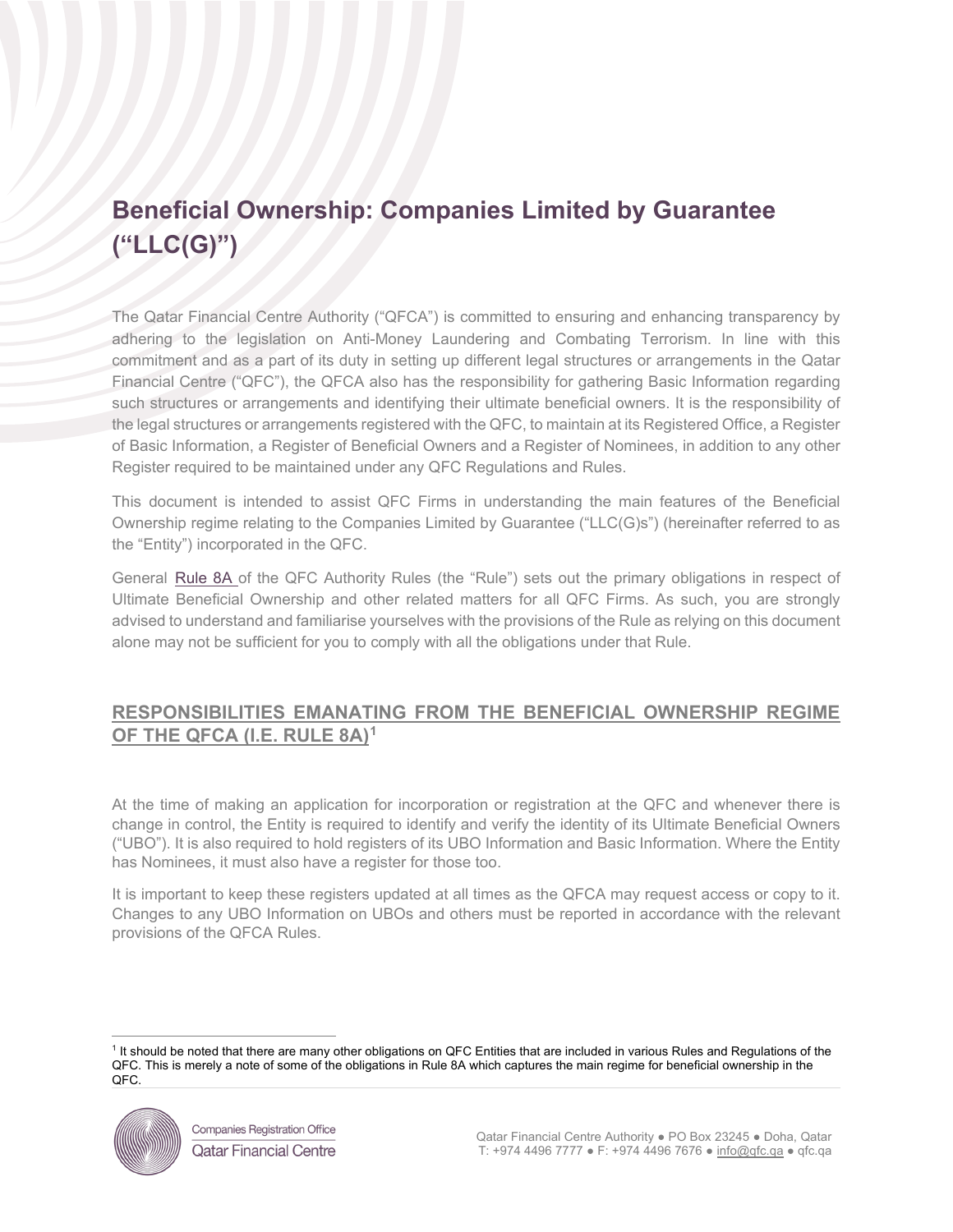# **Beneficial Ownership: Companies Limited by Guarantee ("LLC(G)")**

The Qatar Financial Centre Authority ("QFCA") is committed to ensuring and enhancing transparency by adhering to the legislation on Anti-Money Laundering and Combating Terrorism. In line with this commitment and as a part of its duty in setting up different legal structures or arrangements in the Qatar Financial Centre ("QFC"), the QFCA also has the responsibility for gathering Basic Information regarding such structures or arrangements and identifying their ultimate beneficial owners. It is the responsibility of the legal structures or arrangements registered with the QFC, to maintain at its Registered Office, a Register of Basic Information, a Register of Beneficial Owners and a Register of Nominees, in addition to any other Register required to be maintained under any QFC Regulations and Rules.

This document is intended to assist QFC Firms in understanding the main features of the Beneficial Ownership regime relating to the Companies Limited by Guarantee ("LLC(G)s") (hereinafter referred to as the "Entity") incorporated in the QFC.

General [Rule 8A](https://qfcra-en.thomsonreuters.com/rulebook/qfca-rules-0) of the QFC Authority Rules (the "Rule") sets out the primary obligations in respect of Ultimate Beneficial Ownership and other related matters for all QFC Firms. As such, you are strongly advised to understand and familiarise yourselves with the provisions of the Rule as relying on this document alone may not be sufficient for you to comply with all the obligations under that Rule.

## **RESPONSIBILITIES EMANATING FROM THE BENEFICIAL OWNERSHIP REGIME OF THE QFCA (I.E. RULE 8A)[1](#page-0-0)**

At the time of making an application for incorporation or registration at the QFC and whenever there is change in control, the Entity is required to identify and verify the identity of its Ultimate Beneficial Owners ("UBO"). It is also required to hold registers of its UBO Information and Basic Information. Where the Entity has Nominees, it must also have a register for those too.

It is important to keep these registers updated at all times as the QFCA may request access or copy to it. Changes to any UBO Information on UBOs and others must be reported in accordance with the relevant provisions of the QFCA Rules.

<span id="page-0-0"></span><sup>&</sup>lt;sup>1</sup> It should be noted that there are many other obligations on QFC Entities that are included in various Rules and Regulations of the QFC. This is merely a note of some of the obligations in Rule 8A which captures the main regime for beneficial ownership in the QFC.

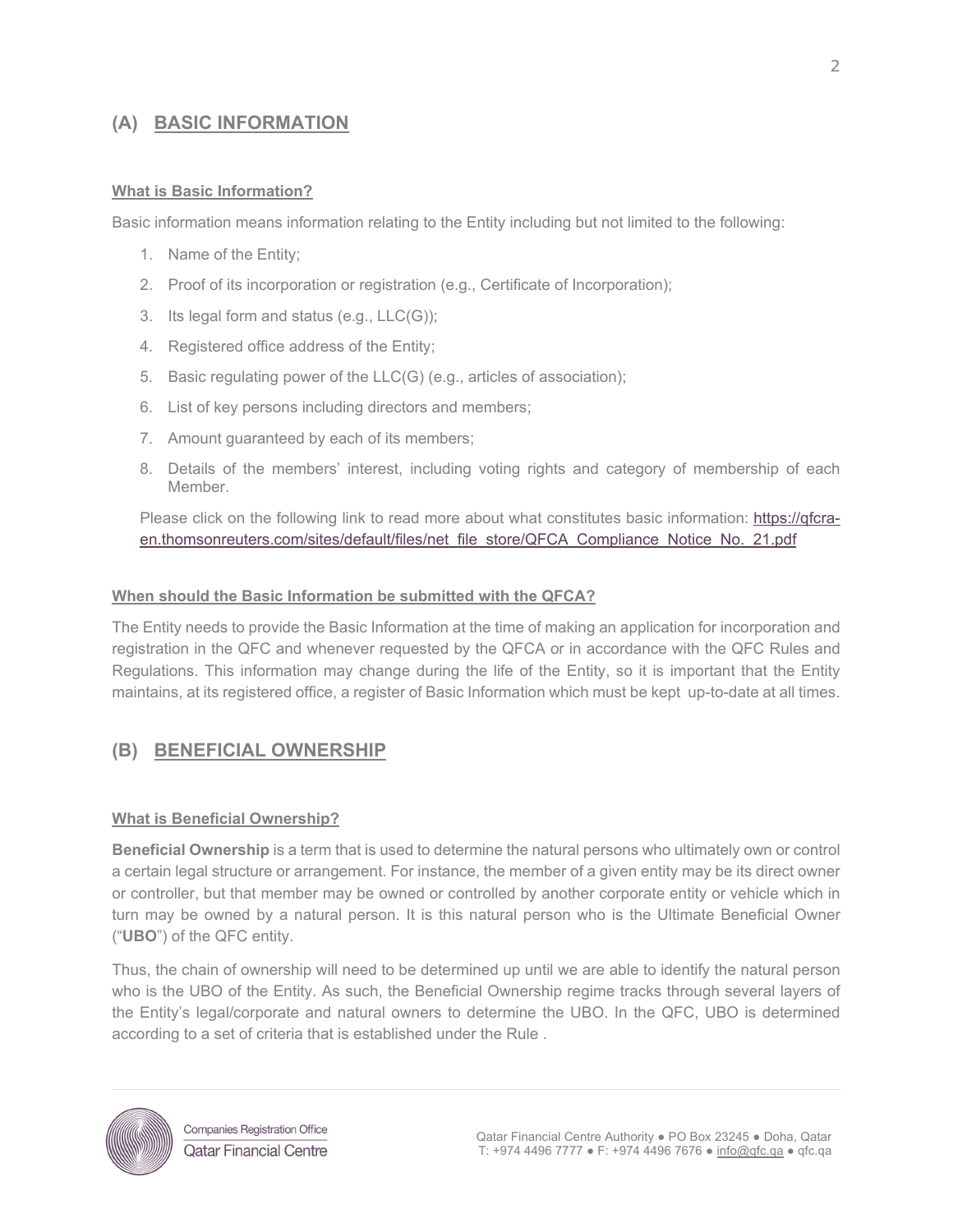### **(A) BASIC INFORMATION**

#### **What is Basic Information?**

Basic information means information relating to the Entity including but not limited to the following:

- 1. Name of the Entity;
- 2. Proof of its incorporation or registration (e.g., Certificate of Incorporation);
- 3. Its legal form and status (e.g., LLC(G));
- 4. Registered office address of the Entity;
- 5. Basic regulating power of the LLC(G) (e.g., articles of association);
- 6. List of key persons including directors and members;
- 7. Amount guaranteed by each of its members;
- 8. Details of the members' interest, including voting rights and category of membership of each Member.

Please click on the following link to read more about what constitutes basic information: [https://qfcra](https://qfcra-en.thomsonreuters.com/sites/default/files/net_file_store/QFCA_Compliance_Notice_No._21.pdf)[en.thomsonreuters.com/sites/default/files/net\\_file\\_store/QFCA\\_Compliance\\_Notice\\_No.\\_21.pdf](https://qfcra-en.thomsonreuters.com/sites/default/files/net_file_store/QFCA_Compliance_Notice_No._21.pdf)

#### **When should the Basic Information be submitted with the QFCA?**

The Entity needs to provide the Basic Information at the time of making an application for incorporation and registration in the QFC and whenever requested by the QFCA or in accordance with the QFC Rules and Regulations. This information may change during the life of the Entity, so it is important that the Entity maintains, at its registered office, a register of Basic Information which must be kept up-to-date at all times.

## **(B) BENEFICIAL OWNERSHIP**

#### **What is Beneficial Ownership?**

**Beneficial Ownership** is a term that is used to determine the natural persons who ultimately own or control a certain legal structure or arrangement. For instance, the member of a given entity may be its direct owner or controller, but that member may be owned or controlled by another corporate entity or vehicle which in turn may be owned by a natural person. It is this natural person who is the Ultimate Beneficial Owner ("**UBO**") of the QFC entity.

Thus, the chain of ownership will need to be determined up until we are able to identify the natural person who is the UBO of the Entity. As such, the Beneficial Ownership regime tracks through several layers of the Entity's legal/corporate and natural owners to determine the UBO. In the QFC, UBO is determined according to a set of criteria that is established under the [Rule](https://qfcra-en.thomsonreuters.com/rulebook/qfca-rules-0) .

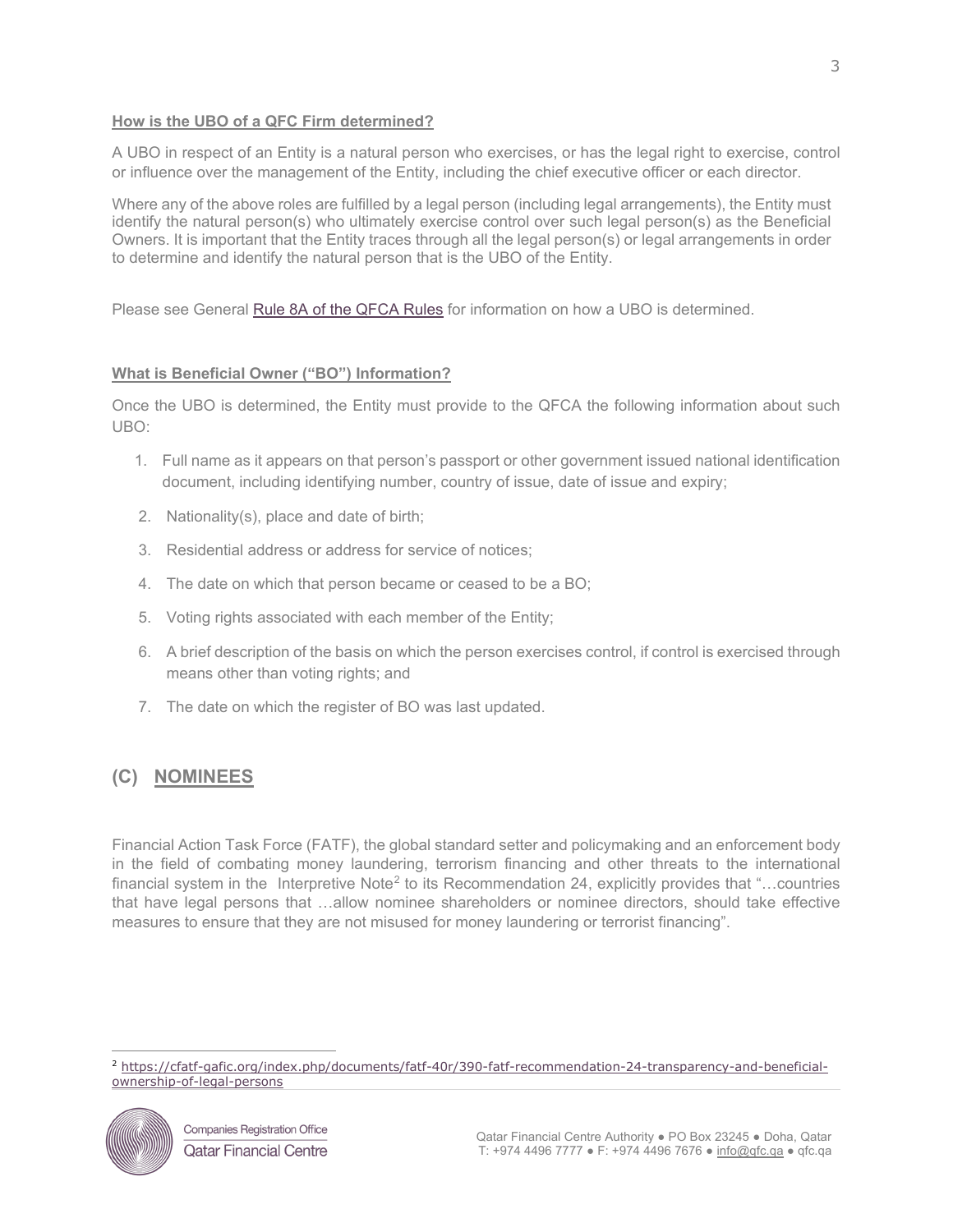#### **How is the UBO of a QFC Firm determined?**

A UBO in respect of an Entity is a natural person who exercises, or has the legal right to exercise, control or influence over the management of the Entity, including the chief executive officer or each director.

Where any of the above roles are fulfilled by a legal person (including legal arrangements), the Entity must identify the natural person(s) who ultimately exercise control over such legal person(s) as the Beneficial Owners. It is important that the Entity traces through all the legal person(s) or legal arrangements in order to determine and identify the natural person that is the UBO of the Entity.

Please see General [Rule 8A](https://qfcra-en.thomsonreuters.com/rulebook/qfca-rules-0) of the QFCA Rules for information on how a UBO is determined.

#### **What is Beneficial Owner ("BO") Information?**

Once the UBO is determined, the Entity must provide to the QFCA the following information about such UBO:

- 1. Full name as it appears on that person's passport or other government issued national identification document, including identifying number, country of issue, date of issue and expiry;
- 2. Nationality(s), place and date of birth;
- 3. Residential address or address for service of notices;
- 4. The date on which that person became or ceased to be a BO;
- 5. Voting rights associated with each member of the Entity;
- 6. A brief description of the basis on which the person exercises control, if control is exercised through means other than voting rights; and
- 7. The date on which the register of BO was last updated.

## **(C) NOMINEES**

Financial Action Task Force (FATF), the global standard setter and policymaking and an enforcement body in the field of combating money laundering, terrorism financing and other threats to the international financial system in the Interpretive Note<sup>[2](#page-2-0)</sup> to its Recommendation 24, explicitly provides that "...countries that have legal persons that …allow nominee shareholders or nominee directors, should take effective measures to ensure that they are not misused for money laundering or terrorist financing".

<span id="page-2-0"></span><sup>2</sup> [https://cfatf-gafic.org/index.php/documents/fatf-40r/390-fatf-recommendation-24-transparency-and-beneficial](https://cfatf-gafic.org/index.php/documents/fatf-40r/390-fatf-recommendation-24-transparency-and-beneficial-ownership-of-legal-persons)[ownership-of-legal-persons](https://cfatf-gafic.org/index.php/documents/fatf-40r/390-fatf-recommendation-24-transparency-and-beneficial-ownership-of-legal-persons)